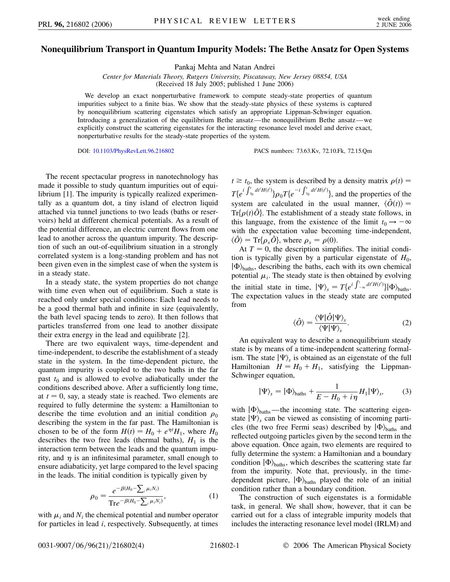## **Nonequilibrium Transport in Quantum Impurity Models: The Bethe Ansatz for Open Systems**

Pankaj Mehta and Natan Andrei

*Center for Materials Theory, Rutgers University, Piscataway, New Jersey 08854, USA* (Received 18 July 2005; published 1 June 2006)

We develop an exact nonperturbative framework to compute steady-state properties of quantum impurities subject to a finite bias. We show that the steady-state physics of these systems is captured by nonequilibrium scattering eigenstates which satisfy an appropriate Lippman-Schwinger equation. Introducing a generalization of the equilibrium Bethe ansatz—the nonequilibrium Bethe ansatz—we explicitly construct the scattering eigenstates for the interacting resonance level model and derive exact, nonperturbative results for the steady-state properties of the system.

DOI: [10.1103/PhysRevLett.96.216802](http://dx.doi.org/10.1103/PhysRevLett.96.216802) PACS numbers: 73.63.Kv, 72.10.Fk, 72.15.Qm

The recent spectacular progress in nanotechnology has made it possible to study quantum impurities out of equilibrium [1]. The impurity is typically realized experimentally as a quantum dot, a tiny island of electron liquid attached via tunnel junctions to two leads (baths or reservoirs) held at different chemical potentials. As a result of the potential difference, an electric current flows from one lead to another across the quantum impurity. The description of such an out-of-equilibrium situation in a strongly correlated system is a long-standing problem and has not been given even in the simplest case of when the system is in a steady state.

In a steady state, the system properties do not change with time even when out of equilibrium. Such a state is reached only under special conditions: Each lead needs to be a good thermal bath and infinite in size (equivalently, the bath level spacing tends to zero). It then follows that particles transferred from one lead to another dissipate their extra energy in the lead and equilibrate [2].

There are two equivalent ways, time-dependent and time-independent, to describe the establishment of a steady state in the system. In the time-dependent picture, the quantum impurity is coupled to the two baths in the far past  $t_0$  and is allowed to evolve adiabatically under the conditions described above. After a sufficiently long time, at  $t = 0$ , say, a steady state is reached. Two elements are required to fully determine the system: a Hamiltonian to describe the time evolution and an initial condition  $\rho_0$ describing the system in the far past. The Hamiltonian is chosen to be of the form  $H(t) = H_0 + e^{\eta t}H_1$ , where  $H_0$ describes the two free leads (thermal baths),  $H_1$  is the interaction term between the leads and the quantum impurity, and  $\eta$  is an infinitesimal parameter, small enough to ensure adiabaticity, yet large compared to the level spacing in the leads. The initial condition is typically given by

$$
\rho_0 = \frac{e^{-\beta(H_0 - \sum_i \mu_i N_i)}}{\text{Tr}e^{-\beta(H_0 - \sum_i \mu_i N_i)}},\tag{1}
$$

with  $\mu_i$  and  $N_i$  the chemical potential and number operator for particles in lead *i*, respectively. Subsequently, at times

 $t \geq t_0$ , the system is described by a density matrix  $\rho(t) =$  $T\{e^{i\int_t^t}$  $\int_{t_0}^{t} dt' H(t')$ <sub>*p*0</sub>*T*{*e*<sup>-*i*</sup>  $\int_{t_0}^{t}$  $\int_{t_0}^{t} dt' H(t')$ , and the properties of the system are calculated in the usual manner,  $\langle \hat{O}(t) \rangle$  =  $Tr{\lbrace \rho(t) \hat{O} \rbrace}$ . The establishment of a steady state follows, in this language, from the existence of the limit  $t_0 \rightarrow -\infty$ with the expectation value becoming time-independent,  $\langle \hat{O} \rangle = \text{Tr}\{\rho_s \hat{O}\}\text{, where } \rho_s = \rho(0).$ 

At  $T = 0$ , the description simplifies. The initial condition is typically given by a particular eigenstate of  $H_0$ ,  $|\Phi\rangle$ <sub>baths</sub>, describing the baths, each with its own chemical potential  $\mu_i$ . The steady state is then obtained by evolving the initial state in time,  $|\Psi\rangle_s = T\{e^{i\int_{-\infty}^t dt'H(t')}\}|\Phi\rangle_{\text{baths}}.$ The expectation values in the steady state are computed from

$$
\langle \hat{O} \rangle = \frac{\langle \Psi | \hat{O} | \Psi \rangle_s}{\langle \Psi | \Psi \rangle_s}.
$$
 (2)

An equivalent way to describe a nonequilibrium steady state is by means of a time-independent scattering formalism. The state  $|\Psi\rangle_s$  is obtained as an eigenstate of the full Hamiltonian  $H = H_0 + H_1$ , satisfying the Lippman-Schwinger equation,

$$
|\Psi\rangle_{s} = |\Phi\rangle_{\text{baths}} + \frac{1}{E - H_0 + i\eta} H_1 |\Psi\rangle_{s}, \tag{3}
$$

with  $|\Phi\rangle_{\text{baths}}$ —the incoming state. The scattering eigenstate  $|\Psi\rangle$ <sub>s</sub> can be viewed as consisting of incoming particles (the two free Fermi seas) described by  $|\Phi\rangle_{\text{baths}}$  and reflected outgoing particles given by the second term in the above equation. Once again, two elements are required to fully determine the system: a Hamiltonian and a boundary condition  $|\Phi\rangle_{\text{baths}}$ , which describes the scattering state far from the impurity. Note that, previously, in the timedependent picture,  $|\Phi\rangle_{\text{baths}}$  played the role of an initial condition rather than a boundary condition.

The construction of such eigenstates is a formidable task, in general. We shall show, however, that it can be carried out for a class of integrable impurity models that includes the interacting resonance level model (IRLM) and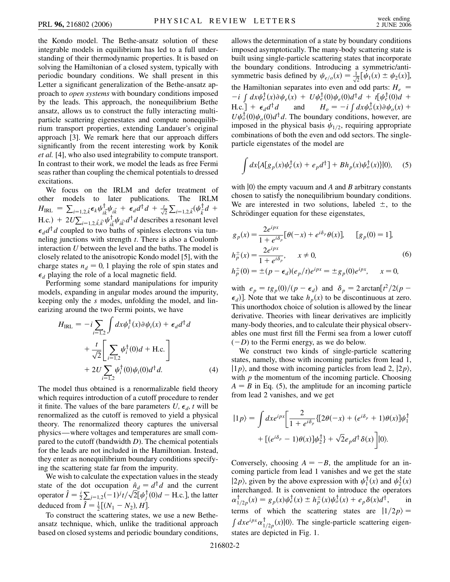the Kondo model. The Bethe-ansatz solution of these integrable models in equilibrium has led to a full understanding of their thermodynamic properties. It is based on solving the Hamiltonian of a closed system, typically with periodic boundary conditions. We shall present in this Letter a significant generalization of the Bethe-ansatz approach to *open systems* with boundary conditions imposed by the leads. This approach, the nonequilibrium Bethe ansatz, allows us to construct the fully interacting multiparticle scattering eigenestates and compute nonequilibrium transport properties, extending Landauer's original approach [3]. We remark here that our approach differs significantly from the recent interesting work by Konik *et al.* [4], who also used integrability to compute transport. In contrast to their work, we model the leads as free Fermi seas rather than coupling the chemical potentials to dressed excitations.

We focus on the IRLM and defer treatment of other models to later publications. The IRLM  $H_{\text{IRL}} = \sum_{i=1,2,\vec{k}} \epsilon_k \psi^{\dagger}_{i\vec{k}} \psi_{i\vec{k}} + \epsilon_d d^{\dagger} d + \frac{i}{\sqrt{2}} \sum_{i=1,2,\vec{k}} (\psi^{\dagger}_{\vec{k}} d +$  $H.c.) + 2U \sum_{i=1,2,\vec{k},\vec{k}'} \psi_{i\vec{k}}^{\dagger} \psi_{i\vec{k}} d^{\dagger} d$  describes a resonant level  $\epsilon_d d^{\dagger}d$  coupled to two baths of spinless electrons via tunneling junctions with strength *t*. There is also a Coulomb interaction *U* between the level and the baths. The model is closely related to the anisotropic Kondo model [5], with the charge states  $n_d = 0$ , 1 playing the role of spin states and  $\epsilon_d$  playing the role of a local magnetic field.

Performing some standard manipulations for impurity models, expanding in angular modes around the impurity, keeping only the *s* modes, unfolding the model, and linearizing around the two Fermi points, we have

$$
H_{\text{IRL}} = -i \sum_{i=1,2} \int dx \psi_i^{\dagger}(x) \partial \psi_i(x) + \epsilon_d d^{\dagger} d
$$
  
+ 
$$
\frac{t}{\sqrt{2}} \left[ \sum_{i=1,2} \psi_i^{\dagger}(0) d + \text{H.c.} \right]
$$
  
+ 
$$
2U \sum_{i=1,2} \psi_i^{\dagger}(0) \psi_i(0) d^{\dagger} d.
$$
 (4)

The model thus obtained is a renormalizable field theory which requires introduction of a cutoff procedure to render it finite. The values of the bare parameters  $U$ ,  $\epsilon_d$ , t will be renormalized as the cutoff is removed to yield a physical theory. The renormalized theory captures the universal physics—where voltages and temperatures are small compared to the cutoff (bandwidth *D*). The chemical potentials for the leads are not included in the Hamiltonian. Instead, they enter as nonequilibrium boundary conditions specifying the scattering state far from the impurity.

We wish to calculate the expectation values in the steady state of the dot occupation  $\hat{n}_d = d^\dagger d$  and the current operator  $\hat{I} = \frac{i}{2}$  $\sum_{j=1,2}(-1)^{j}t/\sqrt{2}[\psi_{j}^{\dagger}(0)d - \text{H.c.}],$  the latter deduced from  $\hat{I} = \frac{1}{2} [(N_1 - N_2), H].$ 

To construct the scattering states, we use a new Betheansatz technique, which, unlike the traditional approach based on closed systems and periodic boundary conditions,

allows the determination of a state by boundary conditions imposed asymptotically. The many-body scattering state is built using single-particle scattering states that incorporate the boundary conditions. Introducing a symmetric/antisymmetric basis defined by  $\psi_{e/o}(x) = \frac{1}{\sqrt{2}} [\psi_1(x) \pm \psi_2(x)]$ , the Hamiltonian separates into even and odd parts:  $H_e$  =  $\frac{d}{dt}$  *i*  $\int d^2x \psi_e^{\dagger}(x) \partial \psi_e(x) + U \psi_e^{\dagger}(0) \psi_e(0) d^{\dagger}d + t [\psi_e^{\dagger}(0) d + t]$  $H.c.$  +  $\epsilon_d d^{\dagger}d$  and  $\int dx \psi_o^{\dagger}(x) \partial \psi_o(x) +$  $U\psi_o^{\dagger}(0)\psi_o(0)d^{\dagger}d$ . The boundary conditions, however, are imposed in the physical basis  $\psi_{1/2}$ , requiring appropriate combinations of both the even and odd sectors. The singleparticle eigenstates of the model are

$$
\int dx \{A[g_p(x)\psi_e^{\dagger}(x) + e_p d^{\dagger}\} + Bh_p(x)\psi_o^{\dagger}(x)\} |0\rangle, \quad (5)
$$

with  $|0\rangle$  the empty vacuum and *A* and *B* arbitrary constants chosen to satisfy the nonequilibrium boundary conditions. We are interested in two solutions, labeled  $\pm$ , to the Schrödinger equation for these eigenstates,

$$
g_p(x) = \frac{2e^{ipx}}{1 + e^{i\delta_p}} [\theta(-x) + e^{i\delta_p} \theta(x)], \quad [g_p(0) = 1],
$$
  
\n
$$
h_p^{\pm}(x) = \frac{2e^{ipx}}{1 + e^{i\delta_p}}, \quad x \neq 0,
$$
  
\n
$$
h_p^{\pm}(0) = \pm (p - \epsilon_d)(e_p/t)e^{ipx} = \pm g_p(0)e^{ipx}, \quad x = 0,
$$
  
\n(6)

with  $e_p = t g_p(0)/(p - \epsilon_d)$  and  $\delta_p = 2 \arctan[t^2/2(p \epsilon_d$ )]. Note that we take  $h_p(x)$  to be discontinuous at zero. This unorthodox choice of solution is allowed by the linear derivative. Theories with linear derivatives are implicitly many-body theories, and to calculate their physical observables one must first fill the Fermi sea from a lower cutoff  $(-D)$  to the Fermi energy, as we do below.

We construct two kinds of single-particle scattering states, namely, those with incoming particles from lead 1,  $|1p\rangle$ , and those with incoming particles from lead 2,  $|2p\rangle$ , with *p* the momentum of the incoming particle. Choosing  $A = B$  in Eq. (5), the amplitude for an incoming particle from lead 2 vanishes, and we get

$$
|1p\rangle = \int dx e^{ipx} \left[ \frac{2}{1 + e^{i\delta_p}} \{ [2\theta(-x) + (e^{i\delta_p} + 1)\theta(x)]\psi_1^{\dagger} + \left[ (e^{i\delta_p} - 1)\theta(x) \right] \psi_2^{\dagger} \} + \sqrt{2} e_p d^{\dagger} \delta(x) \right] |0\rangle.
$$

Conversely, choosing  $A = -B$ , the amplitude for an incoming particle from lead 1 vanishes and we get the state  $|2p\rangle$ , given by the above expression with  $\psi_1^{\dagger}(x)$  and  $\psi_2^{\dagger}(x)$ interchanged. It is convenient to introduce the operators  $\alpha_{1/2p}^{\dagger}(x) = g_p(x)\psi_e^{\dagger}(x) \pm h_p^{\dagger}(x)\psi_o^{\dagger}(x) + e_p\delta(x)d^{\dagger},$  in terms of which the scattering states are  $|1/2p\rangle$  =  $\int dx e^{ipx} \alpha^{\dagger}_{1/2p}(x)$  (0). The single-particle scattering eigenstates are depicted in Fig. 1.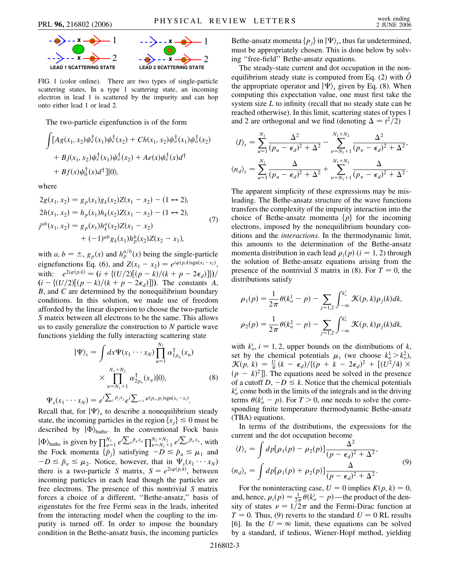



FIG. 1 (color online). There are two types of single-particle scattering states. In a type 1 scattering state, an incoming electron in lead 1 is scattered by the impurity and can hop onto either lead 1 or lead 2.

The two-particle eigenfunction is of the form

$$
\int [A g(x_1, x_2) \psi_e^{\dagger}(x_1) \psi_e^{\dagger}(x_2) + Ch(x_1, x_2) \psi_o^{\dagger}(x_1) \psi_o^{\dagger}(x_2) + B j(x_1, x_2) \psi_e^{\dagger}(x_1) \psi_o^{\dagger}(x_2) + A e(x) \psi_e^{\dagger}(x) d^{\dagger} + B f(x) \psi_0^{\dagger}(x) d^{\dagger} ] |0\rangle,
$$

where

$$
2g(x_1, x_2) = g_p(x_1)g_k(x_2)Z(x_1 - x_2) - (1 \leftrightarrow 2),
$$
  
\n
$$
2h(x_1, x_2) = h_p(x_1)h_k(x_2)Z(x_1 - x_2) - (1 \leftrightarrow 2),
$$
  
\n
$$
j^{ab}(x_1, x_2) = g_p(x_1)h_k(x_2)Z(x_1 - x_2)
$$
  
\n
$$
+ (-1)^{ab}g_k(x_1)h_p^b(x_2)Z(x_2 - x_1),
$$
\n(7)

with *a*,  $b = \pm$ ,  $g_p(x)$  and  $h_p^{a/b}(x)$  being the single-particle eignefunctions Eq. (6), and  $Z(x_1 - x_2) = e^{i\varphi(p,k)sgn(x_1 - x_2)}$ , with:  $e^{2i\varphi(p,k)} = (i + \{(U/2)[(p-k)/(k+p-2\epsilon_d)]\})/$  $(i - \{(U/2) [p - k)/(k + p - 2\epsilon_d)]\}$ . The constants *A*, *B*, and *C* are determined by the nonequilibrium boundary conditions. In this solution, we made use of freedom afforded by the linear dispersion to choose the two-particle *S* matrix between all electrons to be the same. This allows us to easily generalize the construction to *N* particle wave functions yielding the fully interacting scattering state

$$
|\Psi\rangle_{s} = \int dx \Psi(x_{1} \cdots x_{N}) \prod_{u=1}^{N_{1}} \alpha_{1 p_{u}}^{\dagger}(x_{u})
$$

$$
\times \prod_{v=N_{1}+1}^{N_{1}+N_{2}} \alpha_{2 p_{v}}^{\dagger}(x_{v}) |0\rangle, \tag{8}
$$

$$
\Psi_{s}(x_{1} \cdots x_{N}) = e^{i \sum_{j} p_{j} x_{j}} e^{i \sum_{s < i} \varphi(p_{s}, p_{i}) \text{sgn}(x_{s} - x_{t})}.
$$

Recall that, for  $|\Psi\rangle_s$  to describe a nonequilibrium steady state, the incoming particles in the region  $\{x_i\} \leq 0$  must be described by  $|\Phi\rangle_{\text{baths}}$ . In the conventional Fock basis  $|\Phi\rangle_{\text{baths}}$  is given by  $\prod_{u=1}^{N_1} e^{i \sum_{u} \bar{p}_u x_u} \prod_{v=N_1+1}^{N_1+N_2} e^{i \sum_{v} \bar{p}_v x_v}$ , with the Fock momenta  $\{\bar{p}_i\}$  satisfying  $-D \le \bar{p}_u \le \mu_1$  and  $-D \leq \bar{p}_v \leq \mu_2$ . Notice, however, that in  $\Psi_s(x_1 \cdots x_N)$ there is a two-particle *S* matrix,  $S = e^{2i\varphi(p,k)}$ , between incoming particles in each lead though the particles are free electrons. The presence of this nontrivial *S* matrix forces a choice of a different, ''Bethe-ansatz,'' basis of eigenstates for the free Fermi seas in the leads, inherited from the interacting model when the coupling to the impurity is turned off. In order to impose the boundary condition in the Bethe-ansatz basis, the incoming particles

Bethe-ansatz momenta  $\{p_j\}$  in  $|\Psi\rangle_s$ , thus far undetermined, must be appropriately chosen. This is done below by solving ''free-field'' Bethe-ansatz equations.

The steady-state current and dot occupation in the nonequilibrium steady state is computed from Eq. (2) with *O*^ the appropriate operator and  $|\Psi\rangle_s$  given by Eq. (8). When computing this expectation value, one must first take the system size *L* to infinity (recall that no steady state can be reached otherwise). In this limit, scattering states of types 1 and 2 are orthogonal and we find (denoting  $\Delta = t^2/2$ )

$$
\langle I \rangle_{s} = \sum_{u=1}^{N_{1}} \frac{\Delta^{2}}{(p_{u} - \epsilon_{d})^{2} + \Delta^{2}} - \sum_{v=N_{1}+1}^{N_{1}+N_{2}} \frac{\Delta^{2}}{(p_{v} - \epsilon_{d})^{2} + \Delta^{2}},
$$

$$
\langle n_{d} \rangle_{s} = \sum_{u=1}^{N_{1}} \frac{\Delta}{(p_{u} - \epsilon_{d})^{2} + \Delta^{2}} + \sum_{v=N_{1}+1}^{N_{1}+N_{2}} \frac{\Delta}{(p_{v} - \epsilon_{d})^{2} + \Delta^{2}}.
$$

The apparent simplicity of these expressions may be misleading. The Bethe-ansatz structure of the wave functions transfers the complexity of the impurity interaction into the choice of Bethe-ansatz momenta  $\{p\}$  for the incoming electrons, imposed by the nonequilibrium boundary conditions and the *interactions*. In the thermodynamic limit, this amounts to the determination of the Bethe-ansatz momenta distribution in each lead  $\rho_i(p)$  ( $i = 1, 2$ ) through the solution of Bethe-ansatz equations arising from the presence of the nontrivial *S* matrix in (8). For  $T = 0$ , the distributions satisfy

$$
\rho_1(p) = \frac{1}{2\pi} \theta(k_o^1 - p) - \sum_{j=1,2} \int_{-\infty}^{k_o^j} \mathcal{K}(p, k) \rho_j(k) dk,
$$
  

$$
\rho_2(p) = \frac{1}{2\pi} \theta(k_o^2 - p) - \sum_{j=1,2} \int_{-\infty}^{k_o^j} \mathcal{K}(p, k) \rho_j(k) dk,
$$

with  $k_0^i$ ,  $i = 1, 2$ , upper bounds on the distributions of k, set by the chemical potentials  $\mu_i$  (we choose  $k_o^1 > k_o^2$ ),  $\mathcal{K}(p, k) = \frac{U}{\pi} (k - \epsilon_d) / \{(p + k - 2\epsilon_d)^2 + [(U^2/4) \times$  $(p - k)^2$ ]. The equations need be solved in the presence of a cutoff  $D, -D \leq k$ . Notice that the chemical potentials  $k_o^i$  come both in the limits of the integrals and in the driving terms  $\theta(k_o^i - p)$ . For  $T > 0$ , one needs to solve the corresponding finite temperature thermodynamic Bethe-ansatz (TBA) equations.

In terms of the distributions, the expressions for the current and the dot occupation become

$$
\langle I \rangle_s = \int dp [\rho_1(p) - \rho_2(p)] \frac{\Delta^2}{(p - \epsilon_d)^2 + \Delta^2},
$$
  

$$
\langle n_d \rangle_s = \int dp [\rho_1(p) + \rho_2(p)] \frac{\Delta}{(p - \epsilon_d)^2 + \Delta^2}.
$$
 (9)

For the noninteracting case,  $U = 0$  implies  $K(p, k) = 0$ , and, hence,  $\rho_i(p) = \frac{1}{2\pi} \theta(k_o^i - p)$ —the product of the density of states  $\nu = 1/2\pi$  and the Fermi-Dirac function at  $T = 0$ . Thus, (9) reverts to the standard  $U = 0$  RL results [6]. In the  $U = \infty$  limit, these equations can be solved by a standard, if tedious, Wiener-Hopf method, yielding